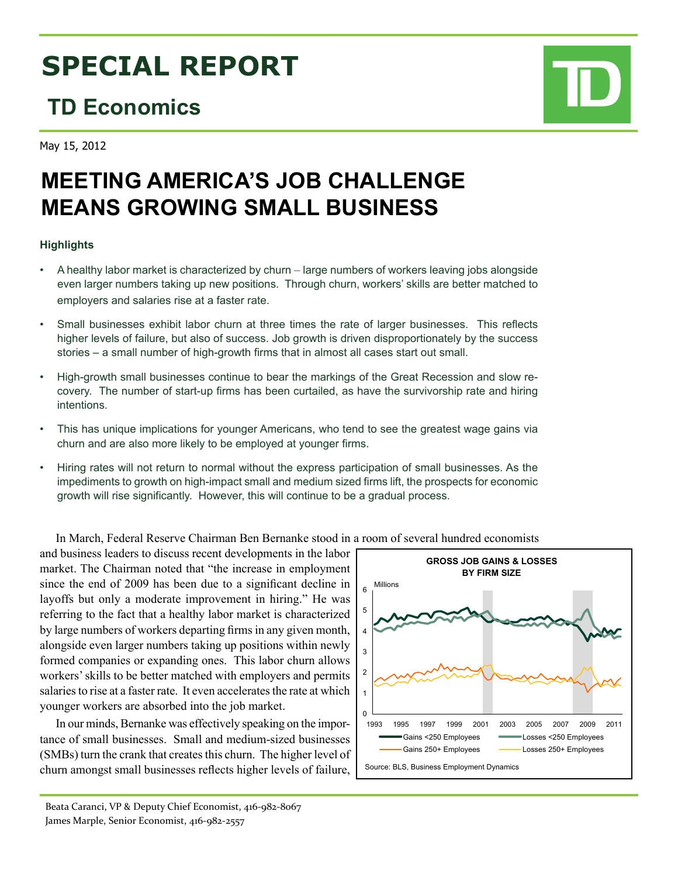# **SPECIAL REPORT**

## **TD Economics**

May 15, 2012

# **MEETING AMERICA'S JOB CHALLENGE MEANS GROWING SMALL BUSINESS**

### **Highlights**

- A healthy labor market is characterized by churn large numbers of workers leaving jobs alongside even larger numbers taking up new positions. Through churn, workers' skills are better matched to employers and salaries rise at a faster rate.
- Small businesses exhibit labor churn at three times the rate of larger businesses. This reflects higher levels of failure, but also of success. Job growth is driven disproportionately by the success stories – a small number of high-growth firms that in almost all cases start out small.
- • High-growth small businesses continue to bear the markings of the Great Recession and slow recovery. The number of start-up firms has been curtailed, as have the survivorship rate and hiring intentions.
- This has unique implications for younger Americans, who tend to see the greatest wage gains via churn and are also more likely to be employed at younger firms.
- • Hiring rates will not return to normal without the express participation of small businesses. As the impediments to growth on high-impact small and medium sized firms lift, the prospects for economic growth will rise significantly. However, this will continue to be a gradual process.

In March, Federal Reserve Chairman Ben Bernanke stood in a room of several hundred economists

and business leaders to discuss recent developments in the labor market. The Chairman noted that "the increase in employment since the end of 2009 has been due to a significant decline in layoffs but only a moderate improvement in hiring." He was referring to the fact that a healthy labor market is characterized by large numbers of workers departing firms in any given month, alongside even larger numbers taking up positions within newly formed companies or expanding ones. This labor churn allows workers' skills to be better matched with employers and permits salaries to rise at a faster rate. It even accelerates the rate at which younger workers are absorbed into the job market.

In our minds, Bernanke was effectively speaking on the importance of small businesses. Small and medium-sized businesses (SMBs) turn the crank that creates this churn. The higher level of churn amongst small businesses reflects higher levels of failure,

**GROSS JOB GAINS & LOSSES BY FIRM SIZE** 0 1 2 3 4 5 6 1993 1995 1997 1999 2001 2003 2005 2007 2009 2011 Gains <250 Employees **Losses <250 Employees** Gains 250+ Employees - Losses 250+ Employees Source: BLS, Business Employment Dynamics Millions

Beata Caranci, VP & Deputy Chief Economist, 416-982-8067 James Marple, Senior Economist, 416-982-2557



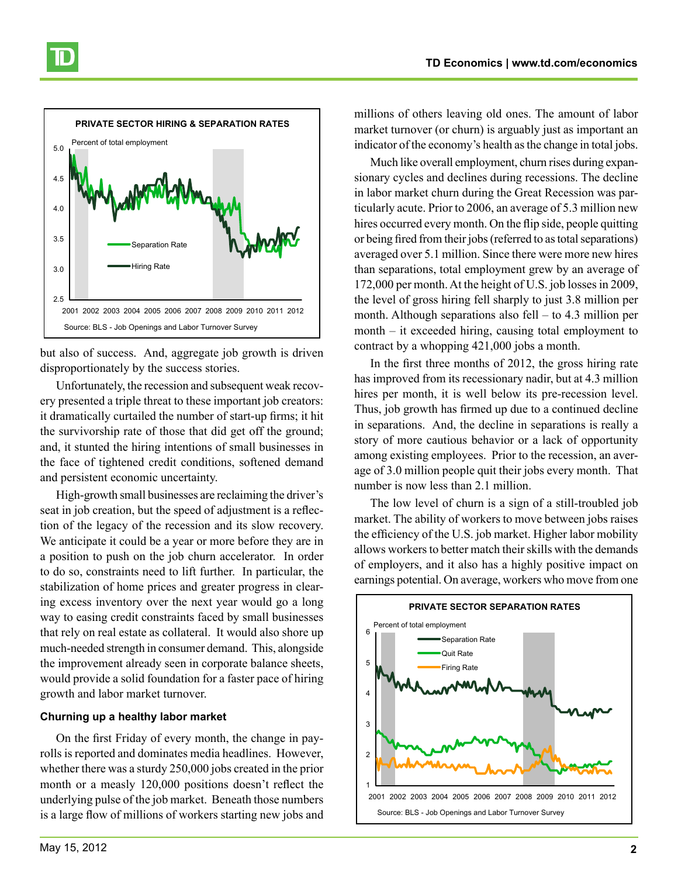

but also of success. And, aggregate job growth is driven disproportionately by the success stories.

Unfortunately, the recession and subsequent weak recovery presented a triple threat to these important job creators: it dramatically curtailed the number of start-up firms; it hit the survivorship rate of those that did get off the ground; and, it stunted the hiring intentions of small businesses in the face of tightened credit conditions, softened demand and persistent economic uncertainty.

High-growth small businesses are reclaiming the driver's seat in job creation, but the speed of adjustment is a reflection of the legacy of the recession and its slow recovery. We anticipate it could be a year or more before they are in a position to push on the job churn accelerator. In order to do so, constraints need to lift further. In particular, the stabilization of home prices and greater progress in clearing excess inventory over the next year would go a long way to easing credit constraints faced by small businesses that rely on real estate as collateral. It would also shore up much-needed strength in consumer demand. This, alongside the improvement already seen in corporate balance sheets, would provide a solid foundation for a faster pace of hiring growth and labor market turnover.

#### **Churning up a healthy labor market**

On the first Friday of every month, the change in payrolls is reported and dominates media headlines. However, whether there was a sturdy 250,000 jobs created in the prior month or a measly 120,000 positions doesn't reflect the underlying pulse of the job market. Beneath those numbers is a large flow of millions of workers starting new jobs and

millions of others leaving old ones. The amount of labor market turnover (or churn) is arguably just as important an indicator of the economy's health as the change in total jobs.

Much like overall employment, churn rises during expansionary cycles and declines during recessions. The decline in labor market churn during the Great Recession was particularly acute. Prior to 2006, an average of 5.3 million new hires occurred every month. On the flip side, people quitting or being fired from their jobs (referred to as total separations) averaged over 5.1 million. Since there were more new hires than separations, total employment grew by an average of 172,000 per month. At the height of U.S. job losses in 2009, the level of gross hiring fell sharply to just 3.8 million per month. Although separations also fell – to 4.3 million per month – it exceeded hiring, causing total employment to contract by a whopping 421,000 jobs a month.

In the first three months of 2012, the gross hiring rate has improved from its recessionary nadir, but at 4.3 million hires per month, it is well below its pre-recession level. Thus, job growth has firmed up due to a continued decline in separations. And, the decline in separations is really a story of more cautious behavior or a lack of opportunity among existing employees. Prior to the recession, an average of 3.0 million people quit their jobs every month. That number is now less than 2.1 million.

The low level of churn is a sign of a still-troubled job market. The ability of workers to move between jobs raises the efficiency of the U.S. job market. Higher labor mobility allows workers to better match their skills with the demands of employers, and it also has a highly positive impact on earnings potential. On average, workers who move from one



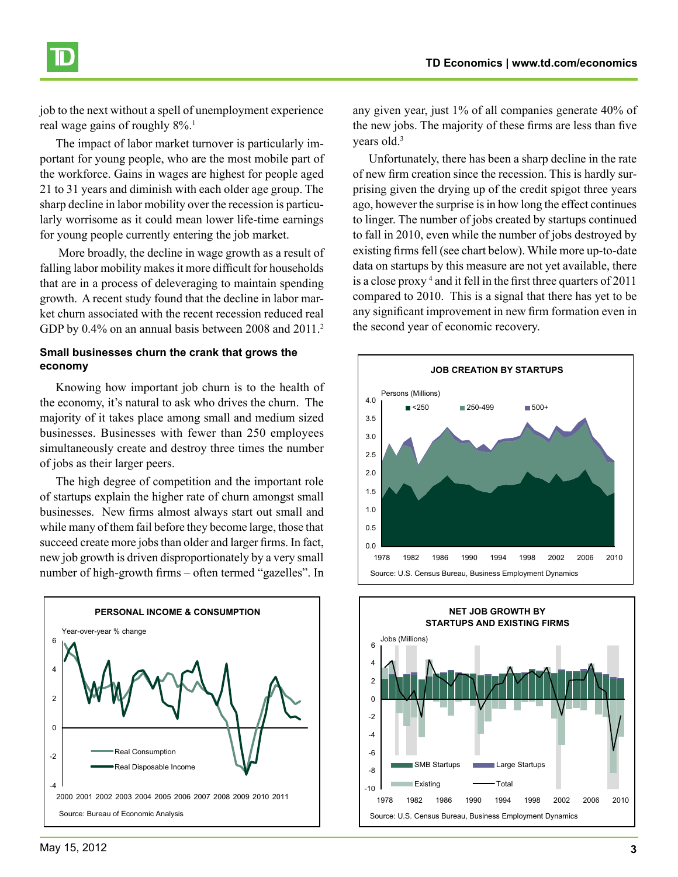

job to the next without a spell of unemployment experience real wage gains of roughly  $8\%$ .<sup>1</sup>

The impact of labor market turnover is particularly important for young people, who are the most mobile part of the workforce. Gains in wages are highest for people aged 21 to 31 years and diminish with each older age group. The sharp decline in labor mobility over the recession is particularly worrisome as it could mean lower life-time earnings for young people currently entering the job market.

 More broadly, the decline in wage growth as a result of falling labor mobility makes it more difficult for households that are in a process of deleveraging to maintain spending growth. A recent study found that the decline in labor market churn associated with the recent recession reduced real GDP by 0.4% on an annual basis between 2008 and 2011.<sup>2</sup>

#### **Small businesses churn the crank that grows the economy**

Knowing how important job churn is to the health of the economy, it's natural to ask who drives the churn. The majority of it takes place among small and medium sized businesses. Businesses with fewer than 250 employees simultaneously create and destroy three times the number of jobs as their larger peers.

The high degree of competition and the important role of startups explain the higher rate of churn amongst small businesses. New firms almost always start out small and while many of them fail before they become large, those that succeed create more jobs than older and larger firms. In fact, new job growth is driven disproportionately by a very small number of high-growth firms – often termed "gazelles". In



any given year, just 1% of all companies generate 40% of the new jobs. The majority of these firms are less than five years old.<sup>3</sup>

Unfortunately, there has been a sharp decline in the rate of new firm creation since the recession. This is hardly surprising given the drying up of the credit spigot three years ago, however the surprise is in how long the effect continues to linger. The number of jobs created by startups continued to fall in 2010, even while the number of jobs destroyed by existing firms fell (see chart below). While more up-to-date data on startups by this measure are not yet available, there is a close proxy 4 and it fell in the first three quarters of 2011 compared to 2010. This is a signal that there has yet to be any significant improvement in new firm formation even in the second year of economic recovery.



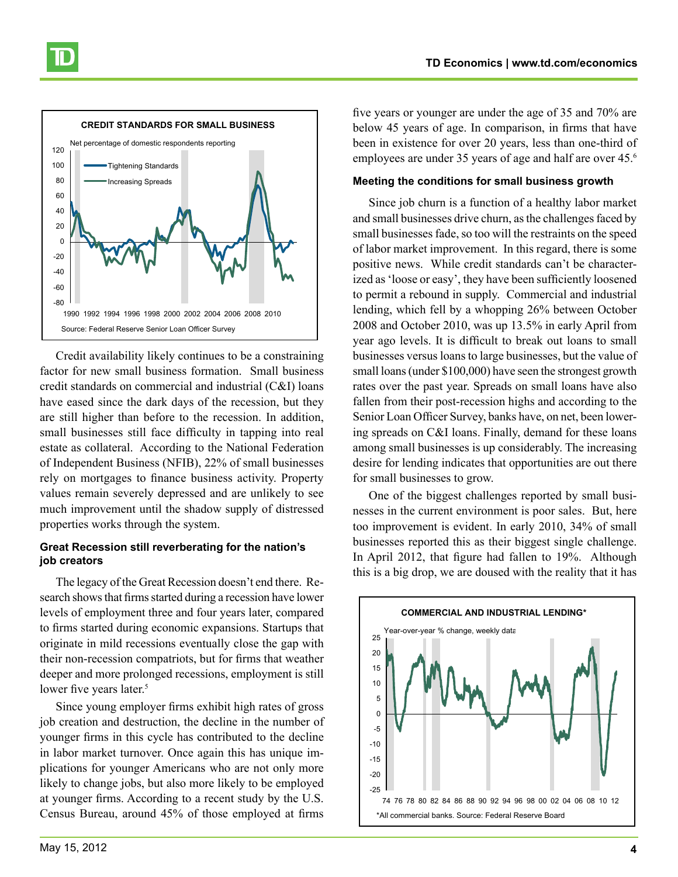

Credit availability likely continues to be a constraining factor for new small business formation. Small business credit standards on commercial and industrial (C&I) loans have eased since the dark days of the recession, but they are still higher than before to the recession. In addition, small businesses still face difficulty in tapping into real estate as collateral. According to the National Federation of Independent Business (NFIB), 22% of small businesses rely on mortgages to finance business activity. Property values remain severely depressed and are unlikely to see much improvement until the shadow supply of distressed properties works through the system.

#### **Great Recession still reverberating for the nation's job creators**

The legacy of the Great Recession doesn't end there. Research shows that firms started during a recession have lower levels of employment three and four years later, compared to firms started during economic expansions. Startups that originate in mild recessions eventually close the gap with their non-recession compatriots, but for firms that weather deeper and more prolonged recessions, employment is still lower five years later.<sup>5</sup>

Since young employer firms exhibit high rates of gross job creation and destruction, the decline in the number of younger firms in this cycle has contributed to the decline in labor market turnover. Once again this has unique implications for younger Americans who are not only more likely to change jobs, but also more likely to be employed at younger firms. According to a recent study by the U.S. Census Bureau, around 45% of those employed at firms

five years or younger are under the age of 35 and 70% are below 45 years of age. In comparison, in firms that have been in existence for over 20 years, less than one-third of employees are under 35 years of age and half are over 45.<sup>6</sup>

#### **Meeting the conditions for small business growth**

Since job churn is a function of a healthy labor market and small businesses drive churn, as the challenges faced by small businesses fade, so too will the restraints on the speed of labor market improvement. In this regard, there is some positive news. While credit standards can't be characterized as 'loose or easy', they have been sufficiently loosened to permit a rebound in supply. Commercial and industrial lending, which fell by a whopping 26% between October 2008 and October 2010, was up 13.5% in early April from year ago levels. It is difficult to break out loans to small businesses versus loans to large businesses, but the value of small loans (under \$100,000) have seen the strongest growth rates over the past year. Spreads on small loans have also fallen from their post-recession highs and according to the Senior Loan Officer Survey, banks have, on net, been lowering spreads on C&I loans. Finally, demand for these loans among small businesses is up considerably. The increasing desire for lending indicates that opportunities are out there for small businesses to grow.

One of the biggest challenges reported by small businesses in the current environment is poor sales. But, here too improvement is evident. In early 2010, 34% of small businesses reported this as their biggest single challenge. In April 2012, that figure had fallen to 19%. Although this is a big drop, we are doused with the reality that it has

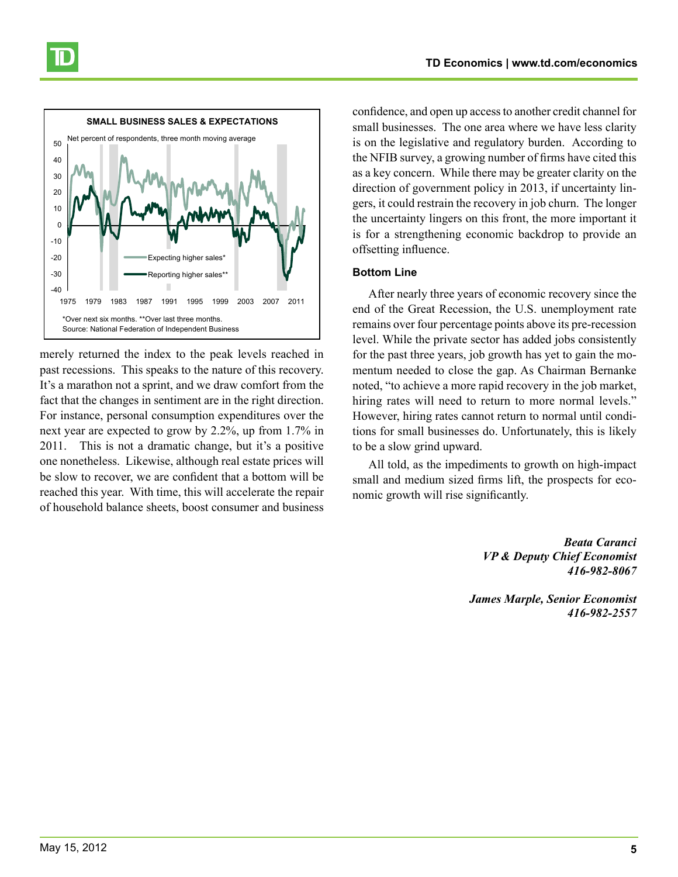

merely returned the index to the peak levels reached in past recessions. This speaks to the nature of this recovery. It's a marathon not a sprint, and we draw comfort from the fact that the changes in sentiment are in the right direction. For instance, personal consumption expenditures over the next year are expected to grow by 2.2%, up from 1.7% in 2011. This is not a dramatic change, but it's a positive one nonetheless. Likewise, although real estate prices will be slow to recover, we are confident that a bottom will be reached this year. With time, this will accelerate the repair of household balance sheets, boost consumer and business

confidence, and open up access to another credit channel for small businesses. The one area where we have less clarity is on the legislative and regulatory burden. According to the NFIB survey, a growing number of firms have cited this as a key concern. While there may be greater clarity on the direction of government policy in 2013, if uncertainty lingers, it could restrain the recovery in job churn. The longer the uncertainty lingers on this front, the more important it is for a strengthening economic backdrop to provide an offsetting influence.

#### **Bottom Line**

After nearly three years of economic recovery since the end of the Great Recession, the U.S. unemployment rate remains over four percentage points above its pre-recession level. While the private sector has added jobs consistently for the past three years, job growth has yet to gain the momentum needed to close the gap. As Chairman Bernanke noted, "to achieve a more rapid recovery in the job market, hiring rates will need to return to more normal levels." However, hiring rates cannot return to normal until conditions for small businesses do. Unfortunately, this is likely to be a slow grind upward.

All told, as the impediments to growth on high-impact small and medium sized firms lift, the prospects for economic growth will rise significantly.

> *Beata Caranci VP & Deputy Chief Economist 416-982-8067*

*James Marple, Senior Economist 416-982-2557*